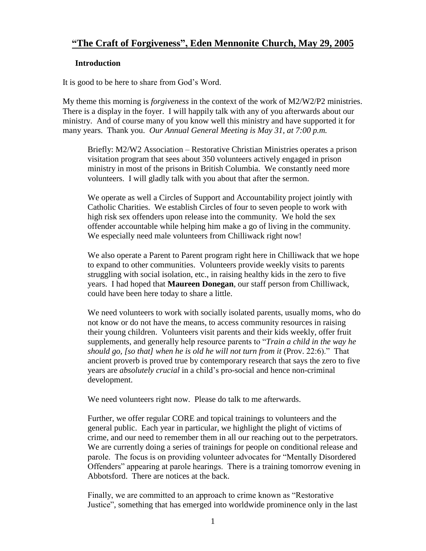# **"The Craft of Forgiveness", Eden Mennonite Church, May 29, 2005**

## **Introduction**

It is good to be here to share from God's Word.

My theme this morning is *forgiveness* in the context of the work of M2/W2/P2 ministries. There is a display in the foyer. I will happily talk with any of you afterwards about our ministry. And of course many of you know well this ministry and have supported it for many years. Thank you. *Our Annual General Meeting is May 31, at 7:00 p.m.*

Briefly: M2/W2 Association – Restorative Christian Ministries operates a prison visitation program that sees about 350 volunteers actively engaged in prison ministry in most of the prisons in British Columbia. We constantly need more volunteers. I will gladly talk with you about that after the sermon.

We operate as well a Circles of Support and Accountability project jointly with Catholic Charities. We establish Circles of four to seven people to work with high risk sex offenders upon release into the community. We hold the sex offender accountable while helping him make a go of living in the community. We especially need male volunteers from Chilliwack right now!

We also operate a Parent to Parent program right here in Chilliwack that we hope to expand to other communities. Volunteers provide weekly visits to parents struggling with social isolation, etc., in raising healthy kids in the zero to five years. I had hoped that **Maureen Donegan**, our staff person from Chilliwack, could have been here today to share a little.

We need volunteers to work with socially isolated parents, usually moms, who do not know or do not have the means, to access community resources in raising their young children. Volunteers visit parents and their kids weekly, offer fruit supplements, and generally help resource parents to "*Train a child in the way he should go, [so that] when he is old he will not turn from it* (Prov. 22:6)." That ancient proverb is proved true by contemporary research that says the zero to five years are *absolutely crucial* in a child's pro-social and hence non-criminal development.

We need volunteers right now. Please do talk to me afterwards.

Further, we offer regular CORE and topical trainings to volunteers and the general public. Each year in particular, we highlight the plight of victims of crime, and our need to remember them in all our reaching out to the perpetrators. We are currently doing a series of trainings for people on conditional release and parole. The focus is on providing volunteer advocates for "Mentally Disordered Offenders" appearing at parole hearings. There is a training tomorrow evening in Abbotsford. There are notices at the back.

Finally, we are committed to an approach to crime known as "Restorative Justice", something that has emerged into worldwide prominence only in the last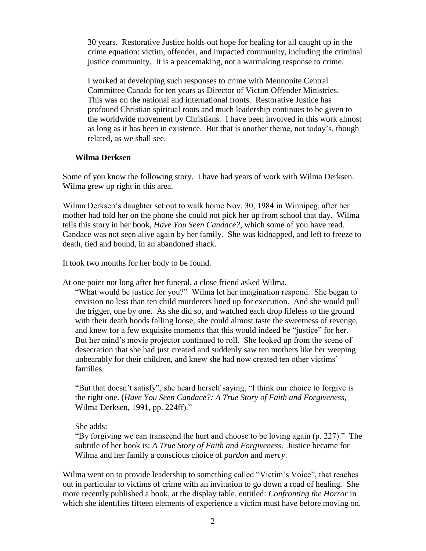30 years. Restorative Justice holds out hope for healing for all caught up in the crime equation: victim, offender, and impacted community, including the criminal justice community. It is a peacemaking, not a warmaking response to crime.

I worked at developing such responses to crime with Mennonite Central Committee Canada for ten years as Director of Victim Offender Ministries. This was on the national and international fronts. Restorative Justice has profound Christian spiritual roots and much leadership continues to be given to the worldwide movement by Christians. I have been involved in this work almost as long as it has been in existence. But that is another theme, not today's, though related, as we shall see.

## **Wilma Derksen**

Some of you know the following story. I have had years of work with Wilma Derksen. Wilma grew up right in this area.

Wilma Derksen's daughter set out to walk home Nov. 30, 1984 in Winnipeg, after her mother had told her on the phone she could not pick her up from school that day. Wilma tells this story in her book, *Have You Seen Candace?*, which some of you have read. Candace was not seen alive again by her family. She was kidnapped, and left to freeze to death, tied and bound, in an abandoned shack.

It took two months for her body to be found.

At one point not long after her funeral, a close friend asked Wilma,

"What would be justice for you?" Wilma let her imagination respond. She began to envision no less than ten child murderers lined up for execution. And she would pull the trigger, one by one. As she did so, and watched each drop lifeless to the ground with their death hoods falling loose, she could almost taste the sweetness of revenge, and knew for a few exquisite moments that this would indeed be "justice" for her. But her mind's movie projector continued to roll. She looked up from the scene of desecration that she had just created and suddenly saw ten mothers like her weeping unbearably for their children, and knew she had now created ten other victims' families.

"But that doesn't satisfy", she heard herself saying, "I think our choice to forgive is the right one. (*Have You Seen Candace?: A True Story of Faith and Forgiveness*, Wilma Derksen, 1991, pp. 224ff)."

She adds:

"By forgiving we can transcend the hurt and choose to be loving again (p. 227)." The subtitle of her book is: *A True Story of Faith and Forgiveness*. Justice became for Wilma and her family a conscious choice of *pardon* and *mercy*.

Wilma went on to provide leadership to something called "Victim's Voice", that reaches out in particular to victims of crime with an invitation to go down a road of healing. She more recently published a book, at the display table, entitled: *Confronting the Horror* in which she identifies fifteen elements of experience a victim must have before moving on.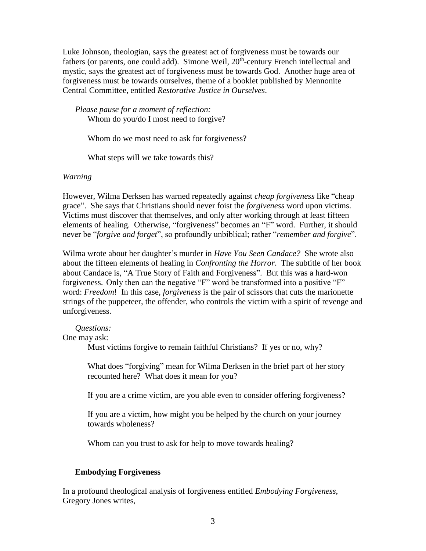Luke Johnson, theologian, says the greatest act of forgiveness must be towards our fathers (or parents, one could add). Simone Weil, 20<sup>th</sup>-century French intellectual and mystic, says the greatest act of forgiveness must be towards God. Another huge area of forgiveness must be towards ourselves, theme of a booklet published by Mennonite Central Committee, entitled *Restorative Justice in Ourselves*.

*Please pause for a moment of reflection:* Whom do you/do I most need to forgive?

Whom do we most need to ask for forgiveness?

What steps will we take towards this?

## *Warning*

However, Wilma Derksen has warned repeatedly against *cheap forgiveness* like "cheap grace". She says that Christians should never foist the *forgiveness* word upon victims. Victims must discover that themselves, and only after working through at least fifteen elements of healing. Otherwise, "forgiveness" becomes an "F" word. Further, it should never be "*forgive and forget*", so profoundly unbiblical; rather "*remember and forgive*".

Wilma wrote about her daughter's murder in *Have You Seen Candace?* She wrote also about the fifteen elements of healing in *Confronting the Horror*. The subtitle of her book about Candace is, "A True Story of Faith and Forgiveness". But this was a hard-won forgiveness. Only then can the negative "F" word be transformed into a positive "F" word: *Freedom*! In this case, *forgiveness* is the pair of scissors that cuts the marionette strings of the puppeteer, the offender, who controls the victim with a spirit of revenge and unforgiveness.

## *Questions:*

One may ask:

Must victims forgive to remain faithful Christians? If yes or no, why?

What does "forgiving" mean for Wilma Derksen in the brief part of her story recounted here? What does it mean for you?

If you are a crime victim, are you able even to consider offering forgiveness?

If you are a victim, how might you be helped by the church on your journey towards wholeness?

Whom can you trust to ask for help to move towards healing?

# **Embodying Forgiveness**

In a profound theological analysis of forgiveness entitled *Embodying Forgiveness*, Gregory Jones writes,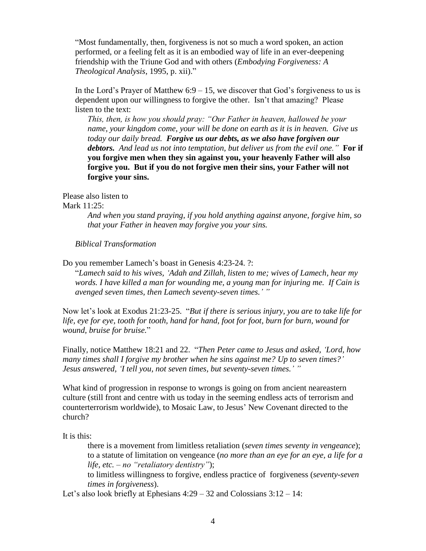"Most fundamentally, then, forgiveness is not so much a word spoken, an action performed, or a feeling felt as it is an embodied way of life in an ever-deepening friendship with the Triune God and with others (*Embodying Forgiveness: A Theological Analysis*, 1995, p. xii)."

In the Lord's Prayer of Matthew  $6:9 - 15$ , we discover that God's forgiveness to us is dependent upon our willingness to forgive the other. Isn't that amazing? Please listen to the text:

*This, then, is how you should pray: "Our Father in heaven, hallowed be your name, your kingdom come, your will be done on earth as it is in heaven. Give us today our daily bread. Forgive us our debts, as we also have forgiven our debtors. And lead us not into temptation, but deliver us from the evil one."* **For if you forgive men when they sin against you, your heavenly Father will also forgive you. But if you do not forgive men their sins, your Father will not forgive your sins.**

# Please also listen to

## Mark 11:25:

 *And when you stand praying, if you hold anything against anyone, forgive him, so that your Father in heaven may forgive you your sins.*

#### *Biblical Transformation*

Do you remember Lamech's boast in Genesis 4:23-24. ?:

"*Lamech said to his wives, 'Adah and Zillah, listen to me; wives of Lamech, hear my words. I have killed a man for wounding me, a young man for injuring me. If Cain is avenged seven times, then Lamech seventy-seven times.' "*

Now let's look at Exodus 21:23-25. "*But if there is serious injury, you are to take life for life, eye for eye, tooth for tooth, hand for hand, foot for foot, burn for burn, wound for wound, bruise for bruise.*"

 Finally, notice Matthew 18:21 and 22. "*Then Peter came to Jesus and asked, 'Lord, how many times shall I forgive my brother when he sins against me? Up to seven times?' Jesus answered, 'I tell you, not seven times, but seventy-seven times.' "*

What kind of progression in response to wrongs is going on from ancient neareastern culture (still front and centre with us today in the seeming endless acts of terrorism and counterterrorism worldwide), to Mosaic Law, to Jesus' New Covenant directed to the church?

It is this:

there is a movement from limitless retaliation (*seven times seventy in vengeance*); to a statute of limitation on vengeance (*no more than an eye for an eye, a life for a life, etc. – no "retaliatory dentistry"*);

to limitless willingness to forgive, endless practice of forgiveness (*seventy-seven times in forgiveness*).

Let's also look briefly at Ephesians  $4:29 - 32$  and Colossians  $3:12 - 14$ :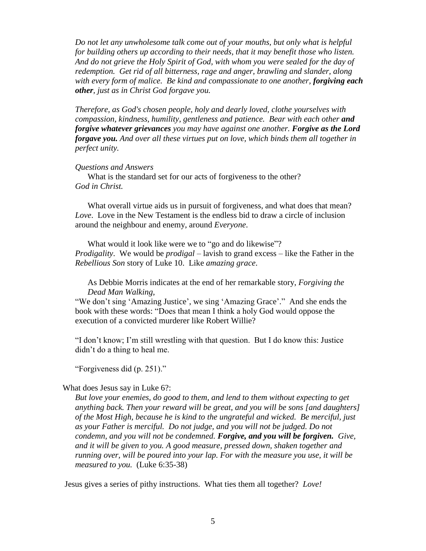*Do not let any unwholesome talk come out of your mouths, but only what is helpful for building others up according to their needs, that it may benefit those who listen. And do not grieve the Holy Spirit of God, with whom you were sealed for the day of redemption. Get rid of all bitterness, rage and anger, brawling and slander, along with every form of malice. Be kind and compassionate to one another, forgiving each other, just as in Christ God forgave you.*

*Therefore, as God's chosen people, holy and dearly loved, clothe yourselves with compassion, kindness, humility, gentleness and patience. Bear with each other and forgive whatever grievances you may have against one another. Forgive as the Lord forgave you. And over all these virtues put on love, which binds them all together in perfect unity.*

#### *Questions and Answers*

What is the standard set for our acts of forgiveness to the other? *God in Christ.*

What overall virtue aids us in pursuit of forgiveness, and what does that mean? *Love*. Love in the New Testament is the endless bid to draw a circle of inclusion around the neighbour and enemy, around *Everyone*.

What would it look like were we to "go and do likewise"? *Prodigality*. We would be *prodigal* – lavish to grand excess – like the Father in the *Rebellious Son* story of Luke 10. Like *amazing grace*.

As Debbie Morris indicates at the end of her remarkable story, *Forgiving the Dead Man Walking*,

"We don't sing 'Amazing Justice', we sing 'Amazing Grace'." And she ends the book with these words: "Does that mean I think a holy God would oppose the execution of a convicted murderer like Robert Willie?

 "I don't know; I'm still wrestling with that question. But I do know this: Justice didn't do a thing to heal me.

"Forgiveness did (p. 251)."

#### What does Jesus say in Luke 6?:

*But love your enemies, do good to them, and lend to them without expecting to get anything back. Then your reward will be great, and you will be sons [and daughters] of the Most High, because he is kind to the ungrateful and wicked. Be merciful, just as your Father is merciful. Do not judge, and you will not be judged. Do not condemn, and you will not be condemned. Forgive, and you will be forgiven. Give, and it will be given to you. A good measure, pressed down, shaken together and running over, will be poured into your lap. For with the measure you use, it will be measured to you.* (Luke 6:35-38)

Jesus gives a series of pithy instructions. What ties them all together? *Love!*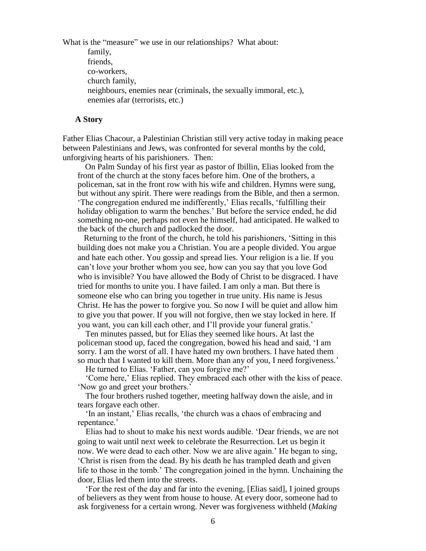What is the "measure" we use in our relationships? What about:

family, friends, co-workers, church family, neighbours, enemies near (criminals, the sexually immoral, etc.), enemies afar (terrorists, etc.)

#### **A Story**

Father Elias Chacour, a Palestinian Christian still very active today in making peace between Palestinians and Jews, was confronted for several months by the cold, unforgiving hearts of his parishioners. Then:

On Palm Sunday of his first year as pastor of Ibillin, Elias looked from the front of the church at the stony faces before him. One of the brothers, a policeman, sat in the front row with his wife and children. Hymns were sung, but without any spirit. There were readings from the Bible, and then a sermon. 'The congregation endured me indifferently,' Elias recalls, 'fulfilling their holiday obligation to warm the benches.' But before the service ended, he did something no-one, perhaps not even he himself, had anticipated. He walked to the back of the church and padlocked the door.

 Returning to the front of the church, he told his parishioners, 'Sitting in this building does not make you a Christian. You are a people divided. You argue and hate each other. You gossip and spread lies. Your religion is a lie. If you can't love your brother whom you see, how can you say that you love God who is invisible? You have allowed the Body of Christ to be disgraced. I have tried for months to unite you. I have failed. I am only a man. But there is someone else who can bring you together in true unity. His name is Jesus Christ. He has the power to forgive you. So now I will be quiet and allow him to give you that power. If you will not forgive, then we stay locked in here. If you want, you can kill each other, and I'll provide your funeral gratis.'

Ten minutes passed, but for Elias they seemed like hours. At last the policeman stood up, faced the congregation, bowed his head and said, 'I am sorry. I am the worst of all. I have hated my own brothers. I have hated them so much that I wanted to kill them. More than any of you, I need forgiveness.'

He turned to Elias. 'Father, can you forgive me?'

'Come here,' Elias replied. They embraced each other with the kiss of peace. 'Now go and greet your brothers.'

The four brothers rushed together, meeting halfway down the aisle, and in tears forgave each other.

'In an instant,' Elias recalls, 'the church was a chaos of embracing and repentance.'

Elias had to shout to make his next words audible. 'Dear friends, we are not going to wait until next week to celebrate the Resurrection. Let us begin it now. We were dead to each other. Now we are alive again.' He began to sing, 'Christ is risen from the dead. By his death he has trampled death and given life to those in the tomb.' The congregation joined in the hymn. Unchaining the door, Elias led them into the streets.

'For the rest of the day and far into the evening, [Elias said], I joined groups of believers as they went from house to house. At every door, someone had to ask forgiveness for a certain wrong. Never was forgiveness withheld (*Making*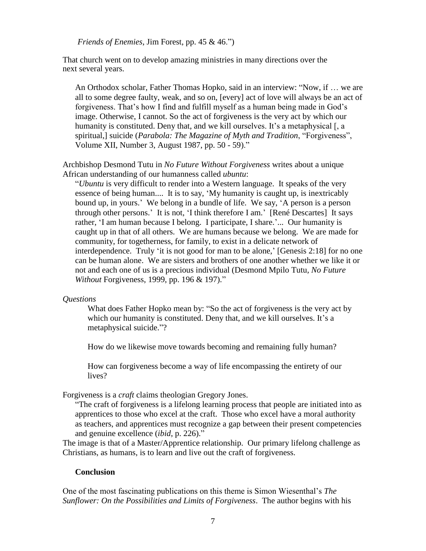*Friends of Enemies*, Jim Forest, pp. 45 & 46.")

That church went on to develop amazing ministries in many directions over the next several years.

An Orthodox scholar, Father Thomas Hopko, said in an interview: "Now, if … we are all to some degree faulty, weak, and so on, [every] act of love will always be an act of forgiveness. That's how I find and fulfill myself as a human being made in God's image. Otherwise, I cannot. So the act of forgiveness is the very act by which our humanity is constituted. Deny that, and we kill ourselves. It's a metaphysical [, a spiritual,] suicide (*Parabola: The Magazine of Myth and Tradition*, "Forgiveness", Volume XII, Number 3, August 1987, pp. 50 - 59)."

Archbishop Desmond Tutu in *No Future Without Forgiveness* writes about a unique African understanding of our humanness called *ubuntu*:

"*Ubuntu* is very difficult to render into a Western language. It speaks of the very essence of being human.... It is to say, 'My humanity is caught up, is inextricably bound up, in yours.' We belong in a bundle of life. We say, 'A person is a person through other persons.' It is not, 'I think therefore I am.' [René Descartes] It says rather, 'I am human because I belong. I participate, I share.'... Our humanity is caught up in that of all others. We are humans because we belong. We are made for community, for togetherness, for family, to exist in a delicate network of interdependence. Truly 'it is not good for man to be alone,' [Genesis 2:18] for no one can be human alone. We are sisters and brothers of one another whether we like it or not and each one of us is a precious individual (Desmond Mpilo Tutu*, No Future Without* Forgiveness, 1999, pp. 196 & 197)."

#### *Questions*

What does Father Hopko mean by: "So the act of forgiveness is the very act by which our humanity is constituted. Deny that, and we kill ourselves. It's a metaphysical suicide."?

How do we likewise move towards becoming and remaining fully human?

How can forgiveness become a way of life encompassing the entirety of our lives?

Forgiveness is a *craft* claims theologian Gregory Jones.

"The craft of forgiveness is a lifelong learning process that people are initiated into as apprentices to those who excel at the craft. Those who excel have a moral authority as teachers, and apprentices must recognize a gap between their present competencies and genuine excellence (*ibid*, p. 226)."

The image is that of a Master/Apprentice relationship. Our primary lifelong challenge as Christians, as humans, is to learn and live out the craft of forgiveness.

#### **Conclusion**

One of the most fascinating publications on this theme is Simon Wiesenthal's *The Sunflower: On the Possibilities and Limits of Forgiveness*. The author begins with his